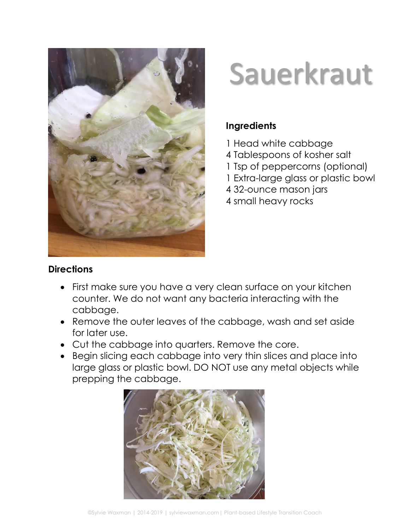

## Sauerkraut

## **Ingredients**

- 1 Head white cabbage
- 4 Tablespoons of kosher salt
- 1 Tsp of peppercorns (optional)
- 1 Extra-large glass or plastic bowl
- 4 32-ounce mason jars
- 4 small heavy rocks

## **Directions**

- First make sure you have a very clean surface on your kitchen counter. We do not want any bacteria interacting with the cabbage.
- Remove the outer leaves of the cabbage, wash and set aside for later use.
- Cut the cabbage into quarters. Remove the core.
- Begin slicing each cabbage into very thin slices and place into large glass or plastic bowl. DO NOT use any metal objects while prepping the cabbage.